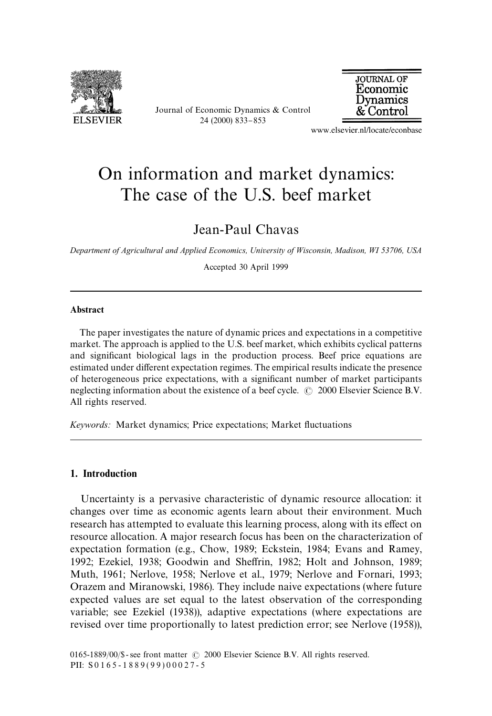

Journal of Economic Dynamics & Control 24 (2000) 833-853



www.elsevier.nl/locate/econbase

## On information and market dynamics: The case of the U.S. beef market

Jean-Paul Chavas

*Department of Agricultural and Applied Economics, University of Wisconsin, Madison, WI 53706, USA*

Accepted 30 April 1999

## Abstract

The paper investigates the nature of dynamic prices and expectations in a competitive market. The approach is applied to the U.S. beef market, which exhibits cyclical patterns and significant biological lags in the production process. Beef price equations are estimated under different expectation regimes. The empirical results indicate the presence of heterogeneous price expectations, with a significant number of market participants neglecting information about the existence of a beef cycle.  $\odot$  2000 Elsevier Science B.V. All rights reserved.

*Keywords:* Market dynamics; Price expectations; Market fluctuations

## 1. Introduction

Uncertainty is a pervasive characteristic of dynamic resource allocation: it changes over time as economic agents learn about their environment. Much research has attempted to evaluate this learning process, along with its effect on resource allocation. A major research focus has been on the characterization of expectation formation (e.g., Chow, 1989; Eckstein, 1984; Evans and Ramey, 1992; Ezekiel, 1938; Goodwin and Sheffrin, 1982; Holt and Johnson, 1989; Muth, 1961; Nerlove, 1958; Nerlove et al., 1979; Nerlove and Fornari, 1993; Orazem and Miranowski, 1986). They include naive expectations (where future expected values are set equal to the latest observation of the corresponding variable; see Ezekiel (1938)), adaptive expectations (where expectations are revised over time proportionally to latest prediction error; see Nerlove (1958)),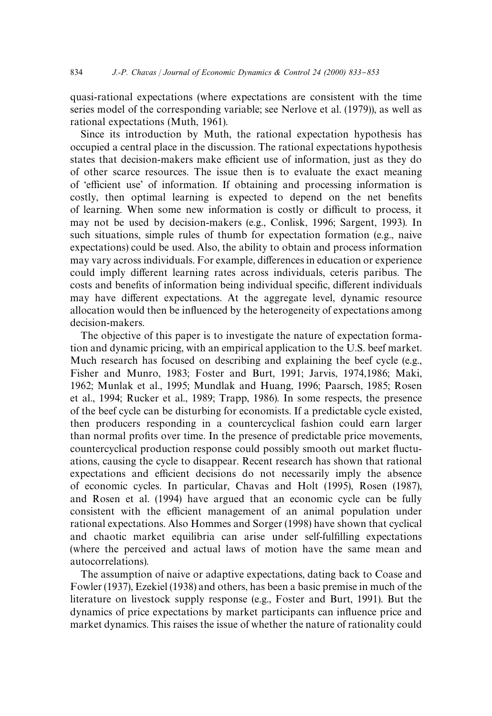quasi-rational expectations (where expectations are consistent with the time series model of the corresponding variable; see Nerlove et al. (1979)), as well as rational expectations (Muth, 1961).

Since its introduction by Muth, the rational expectation hypothesis has occupied a central place in the discussion. The rational expectations hypothesis states that decision-makers make efficient use of information, just as they do of other scarce resources. The issue then is to evaluate the exact meaning of 'efficient use' of information. If obtaining and processing information is costly, then optimal learning is expected to depend on the net benefits of learning. When some new information is costly or difficult to process, it may not be used by decision-makers (e.g., Conlisk, 1996; Sargent, 1993). In such situations, simple rules of thumb for expectation formation (e.g., naive expectations) could be used. Also, the ability to obtain and process information may vary across individuals. For example, differences in education or experience could imply different learning rates across individuals, ceteris paribus. The costs and benefits of information being individual specific, different individuals may have different expectations. At the aggregate level, dynamic resource allocation would then be influenced by the heterogeneity of expectations among decision-makers.

The objective of this paper is to investigate the nature of expectation formation and dynamic pricing, with an empirical application to the U.S. beef market. Much research has focused on describing and explaining the beef cycle (e.g., Fisher and Munro, 1983; Foster and Burt, 1991; Jarvis, 1974,1986; Maki, 1962; Munlak et al., 1995; Mundlak and Huang, 1996; Paarsch, 1985; Rosen et al., 1994; Rucker et al., 1989; Trapp, 1986). In some respects, the presence of the beef cycle can be disturbing for economists. If a predictable cycle existed, then producers responding in a countercyclical fashion could earn larger than normal profits over time. In the presence of predictable price movements, countercyclical production response could possibly smooth out market fluctuations, causing the cycle to disappear. Recent research has shown that rational expectations and efficient decisions do not necessarily imply the absence of economic cycles. In particular, Chavas and Holt (1995), Rosen (1987), and Rosen et al. (1994) have argued that an economic cycle can be fully consistent with the efficient management of an animal population under rational expectations. Also Hommes and Sorger (1998) have shown that cyclical and chaotic market equilibria can arise under self-fulfilling expectations (where the perceived and actual laws of motion have the same mean and autocorrelations).

The assumption of naive or adaptive expectations, dating back to Coase and Fowler (1937), Ezekiel (1938) and others, has been a basic premise in much of the literature on livestock supply response (e.g., Foster and Burt, 1991). But the dynamics of price expectations by market participants can influence price and market dynamics. This raises the issue of whether the nature of rationality could